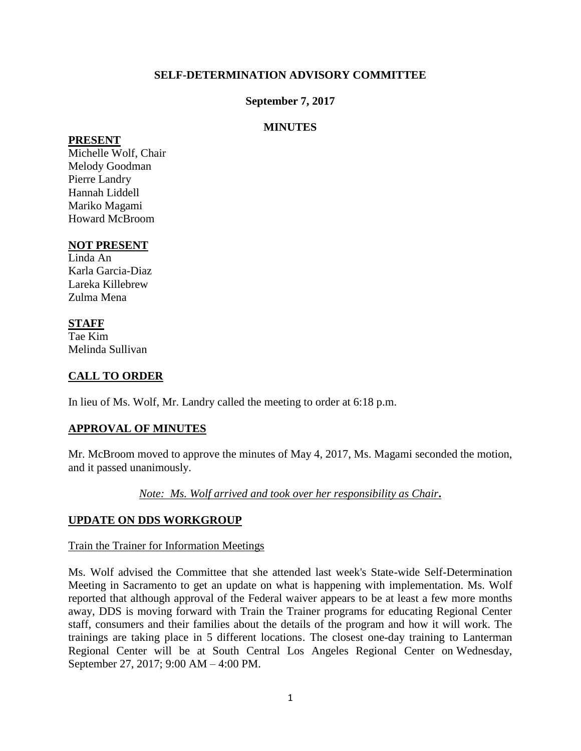#### **SELF-DETERMINATION ADVISORY COMMITTEE**

#### **September 7, 2017**

#### **MINUTES**

#### **PRESENT**

Michelle Wolf, Chair Melody Goodman Pierre Landry Hannah Liddell Mariko Magami Howard McBroom

#### **NOT PRESENT**

Linda An Karla Garcia-Diaz Lareka Killebrew Zulma Mena

## **STAFF**

Tae Kim Melinda Sullivan

## **CALL TO ORDER**

In lieu of Ms. Wolf, Mr. Landry called the meeting to order at 6:18 p.m.

## **APPROVAL OF MINUTES**

Mr. McBroom moved to approve the minutes of May 4, 2017, Ms. Magami seconded the motion, and it passed unanimously.

*Note: Ms. Wolf arrived and took over her responsibility as Chair***.**

## **UPDATE ON DDS WORKGROUP**

#### Train the Trainer for Information Meetings

Ms. Wolf advised the Committee that she attended last week's State-wide Self-Determination Meeting in Sacramento to get an update on what is happening with implementation. Ms. Wolf reported that although approval of the Federal waiver appears to be at least a few more months away, DDS is moving forward with Train the Trainer programs for educating Regional Center staff, consumers and their families about the details of the program and how it will work. The trainings are taking place in 5 different locations. The closest one-day training to Lanterman Regional Center will be at South Central Los Angeles Regional Center on Wednesday, September 27, 2017; 9:00 AM – 4:00 PM.